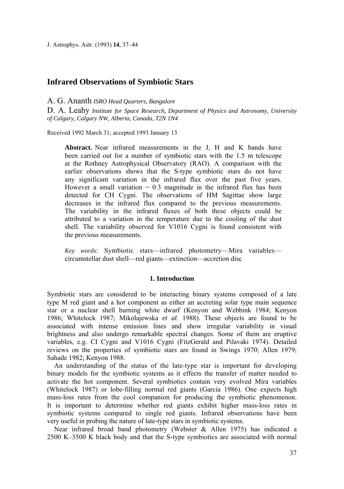J. Astrophys. Astr. (1993) **14**, 37–44

# **Infrared Observations of Symbiotic Stars**

## A. G. Ananth *ISRO Head Quarters, Bangalore*

D. A. Leahy *Institute for Space Research, Department of Physics and Astronomy, University of Calgary*, *Calgary NW*, *Alberta*, *Canada*, *T2N 1N4*

Received 1992 March 31; accepted 1993 January 13

**Abstract.** Near infrared measurements in the J, Η and Κ bands have been carried out for a number of symbiotic stars with the 1.5 m telescope at the Rothney Astrophysical Observatory (RAO). A comparison with the earlier observations shows that the S-type symbiotic stars do not have any significant variation in the infrared flux over the past five years. However a small variation  $\sim 0.3$  magnitude in the infrared flux has been detected for CH Cygni. The observations of HM Sagittae show large decreases in the infrared flux compared to the previous measurements. The variability in the infrared fluxes of both these objects could be attributed to a variation in the temperature due to the cooling of the dust shell. The variability observed for V1016 Cygni is found consistent with the previous measurements.

*Key words*: Symbiotic stars—infrared photometry—Mira variables circumstellar dust shell—red giants—extinction—accretion disc

## **1. Introduction**

Symbiotic stars are considered to be interacting binary systems composed of a late type Μ red giant and a hot component as either an accreting solar type main sequence star or a nuclear shell burning white dwarf (Kenyon and Webbink 1984; Kenyon 1986; Whitelock 1987; Mikolajewska *et al.* 1988). These objects are found to be associated with intense emission lines and show irregular variability in visual brightness and also undergo remarkable spectral changes. Some of them are eruptive variables, e.g. CI Cygni and V1016 Cygni (FitzGerald and Pilavaki 1974). Detailed reviews on the properties of symbiotic stars are found in Swings 1970; Allen 1979; Sahade 1982; Kenyon 1988.

An understanding of the status of the late-type star is important for developing binary models for the symbiotic systems as it effects the transfer of matter needed to activate the hot component. Several symbiotics contain very evolved Mira variables (Whitelock 1987) or lobe-filling normal red giants (Garcia 1986). One expects high mass-loss rates from the cool companion for producing the symbiotic phenomenon. It is important to determine whether red giants exhibit higher mass-loss rates in symbiotic systems compared to single red giants. Infrared observations have been very useful in probing the nature of late-type stars in symbiotic systems.

Near infrared broad band photometry (Webster & Allen 1975) has indicated a 2500 K–3500 Κ black body and that the S-type symbiotics are associated with normal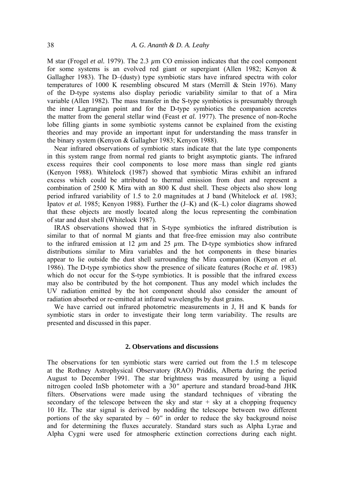Μ star (Frogel *et al.* 1979). The 2.3 *µ*m CO emission indicates that the cool component for some systems is an evolved red giant or supergiant (Allen 1982; Kenyon & Gallagher 1983). The D–(dusty) type symbiotic stars have infrared spectra with color temperatures of 1000 Κ resembling obscured Μ stars (Merrill & Stein 1976). Many of the D-type systems also display periodic variability similar to that of a Mira variable (Allen 1982). The mass transfer in the S-type symbiotics is presumably through the inner Lagrangian point and for the D-type symbiotics the companion accretes the matter from the general stellar wind (Feast *et al.* 1977). The presence of non-Roche lobe filling giants in some symbiotic systems cannot be explained from the existing theories and may provide an important input for understanding the mass transfer in the binary system (Kenyon & Gallagher 1983; Kenyon 1988).

Near infrared observations of symbiotic stars indicate that the late type components in this system range from normal red giants to bright asymptotic giants. The infrared excess requires their cool components to lose more mass than single red giants (Kenyon 1988). Whitelock (1987) showed that symbiotic Miras exhibit an infrared excess which could be attributed to thermal emission from dust and represent a combination of 2500 Κ Mira with an 800 Κ dust shell. These objects also show long period infrared variability of 1.5 to 2.0 magnitudes at J band (Whitelock *et al.* 1983; Ipatov *et al.* 1985; Kenyon 1988). Further the (J–K) and (K–L) color diagrams showed that these objects are mostly located along the locus representing the combination of star and dust shell (Whitelock 1987).

IRAS observations showed that in S-type symbiotics the infrared distribution is similar to that of normal Μ giants and that free-free emission may also contribute to the infrared emission at 12 *µ*m and 25 *µ*m. The D-type symbiotics show infrared distributions similar to Mira variables and the hot components in these binaries appear to lie outside the dust shell surrounding the Mira companion (Kenyon *et al.*  1986). The D-type symbiotics show the presence of silicate features (Roche *et al.* 1983) which do not occur for the S-type symbiotics. It is possible that the infrared excess may also be contributed by the hot component. Thus any model which includes the UV radiation emitted by the hot component should also consider the amount of radiation absorbed or re-emitted at infrared wavelengths by dust grains.

We have carried out infrared photometric measurements in J, Η and Κ bands for symbiotic stars in order to investigate their long term variability. The results are presented and discussed in this paper.

## **2. Observations and discussions**

The observations for ten symbiotic stars were carried out from the 1.5 m telescope at the Rothney Astrophysical Observatory (RAO) Priddis, Alberta during the period August to December 1991. The star brightness was measured by using a liquid nitrogen cooled InSb photometer with a 30*"* aperture and standard broad-band JHK filters. Observations were made using the standard techniques of vibrating the secondary of the telescope between the sky and star  $+$  sky at a chopping frequency 10 Hz. The star signal is derived by nodding the telescope between two different portions of the sky separated by  $\sim 60''$  in order to reduce the sky background noise and for determining the fluxes accurately. Standard stars such as Alpha Lyrae and Alpha Cygni were used for atmospheric extinction corrections during each night.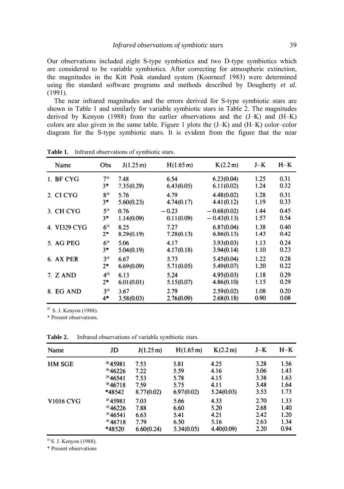Our observations included eight S-type symbiotics and two D-type symbiotics which are considered to be variable symbiotics. After correcting for atmospheric extinction, the magnitudes in the Kitt Peak standard system (Koorneef 1983) were determined using the standard software programs and methods described by Dougherty *et al*. (1991).

The near infrared magnitudes and the errors derived for S-type symbiotic stars are shown in Table 1 and similarly for variable symbiotic stars in Table 2. The magnitudes derived by Kenyon (1988) from the earlier observations and the (J–K) and (H–K) colors are also given in the same table. Figure 1 plots the (J–K) and (H–K) color–color diagram for the S-type symbiotic stars. It is evident from the figure that the near

| Name         | Obs              | J(1.25 m)  | H(1.65 m)  | K(2.2 m)      | $J-K$ | $H-K$ |
|--------------|------------------|------------|------------|---------------|-------|-------|
| 1. BF CYG    | 7 <sup>(a)</sup> | 7.48       | 6.54       | 6.23(0.04)    | 1.25  | 0.31  |
|              | $3*$             | 7.35(0.29) | 6.43(0.05) | 6.11(0.02)    | 1.24  | 0.32  |
| 2. CI CYG    | $8^{(a)}$        | 5.76       | 4.79       | 4.48(0.02)    | 1.28  | 0.31  |
|              | $3*$             | 5.60(0.23) | 4.74(0.17) | 4.41(0.12)    | 1.19  | 0.33  |
| 3. CH CYG    | $5^{(a)}$        | 0.76       | $-0.23$    | $-0.68(0.02)$ | 1.44  | 0.45  |
|              | $3*$             | 1.14(0.09) | 0.11(0.09) | $-0.43(0.13)$ | 1.57  | 0.54  |
| 4. VI329 CYG | $6^{\circ}$      | 8.25       | 7.27       | 6.87(0.04)    | 1.38  | 0.40  |
|              | $2*$             | 8.29(0.19) | 7.28(0.13) | 6.86(0.15)    | 1.43  | 0.42  |
| 5. AG PEG    | 6 <sup>(a)</sup> | 5.06       | 4.17       | 3.93(0.03)    | 1.13  | 0.24  |
|              | $3*$             | 5.04(0.19) | 4.17(0.18) | 3.94(0.14)    | 1.10  | 0.23  |
| 6. AX PER    | 3 <sup>(a)</sup> | 6.67       | 5.73       | 5.45(0.04)    | 1.22  | 0.28  |
|              | $2*$             | 6.69(0.09) | 5.71(0.05) | 5.49(0.07)    | 1.20  | 0.22  |
| 7. Z AND     | $4^{(a)}$        | 6.13       | 5.24       | 4.95(0.03)    | 1.18  | 0.29  |
|              | $2*$             | 6.01(0.01) | 5.15(0.07) | 4.86(0.10)    | 1.15  | 0.29  |
| 8. EG AND    | 3 <sup>(a)</sup> | 3.67       | 2.79       | 2.59(0.02)    | 1.08  | 0.20  |
|              | 4*               | 3.58(0.03) | 2.76(0.09) | 2.68(0.18)    | 0.90  | 0.08  |

**Table 1.** Infrared observations of symbiotic stars.

*@* S. J. Kenyon (1988).

\* Present observations.

| Name             | JD                   | J(1.25 m)  | $H(1.65 \,\mathrm{m})$ | K(2.2 m)   | $J-K$ | $H-K$ |
|------------------|----------------------|------------|------------------------|------------|-------|-------|
| HM SGE           | <sup>(a</sup> 45981) | 7.53       | 5.81                   | 4.25       | 3.28  | 1.56  |
|                  | $^{(a)}$ 46226       | 7.22       | 5.59                   | 4.16       | 3.06  | 1.43  |
|                  | $^{(a)}$ 46541       | 7.53       | 5.78                   | 4.15       | 3.38  | 1.63  |
|                  | $^{(a)}$ 46718       | 7.59       | 5.75                   | 4.11       | 3.48  | 1.64  |
|                  | *48542               | 8.77(0.02) | 6.97(0.02)             | 5.24(0.03) | 3.53  | 1.73  |
| <b>V1016 CYG</b> | $^{(a)}$ 45981       | 7.03       | 5.66                   | 4.33       | 2.70  | 1.33  |
|                  | 46226                | 7.88       | 6.60                   | 5.20       | 2.68  | 1.40  |
|                  | $^{(a)}$ 46541       | 6.63       | 5.41                   | 4.21       | 2.42  | 1.20  |
|                  | $^{(a)}$ 46718       | 7.79       | 6.50                   | 5.16       | 2.63  | 1.34  |
|                  | *48520               | 6.60(0.24) | 5.34(0.05)             | 4.40(0.09) | 2.20  | 0.94  |

**Table 2.** Infrared observations of variable symbiotic stars.

 $^{\textcircled{a}}$  S. J. Kenyon (1988).

\* Present observations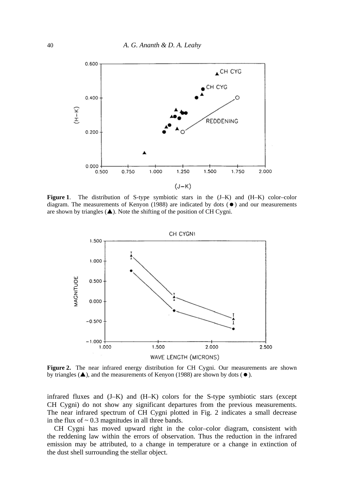

**Figure 1**. The distribution of S-type symbiotic stars in the (J–K) and (H–K) color–color diagram. The measurements of Kenyon (1988) are indicated by dots  $(\bullet)$  and our measurements are shown by triangles  $(\triangle)$ . Note the shifting of the position of CH Cygni.



Figure 2. The near infrared energy distribution for CH Cygni. Our measurements are shown by triangles ( $\blacktriangle$ ), and the measurements of Kenyon (1988) are shown by dots ( $\blacktriangleright$ ).

infrared fluxes and (J–K) and (H–K) colors for the S-type symbiotic stars (except CH Cygni) do not show any significant departures from the previous measurements. The near infrared spectrum of CH Cygni plotted in Fig. 2 indicates a small decrease in the flux of  $\sim 0.3$  magnitudes in all three bands.

CH Cygni has moved upward right in the color–color diagram, consistent with the reddening law within the errors of observation. Thus the reduction in the infrared emission may be attributed, to a change in temperature or a change in extinction of the dust shell surrounding the stellar object.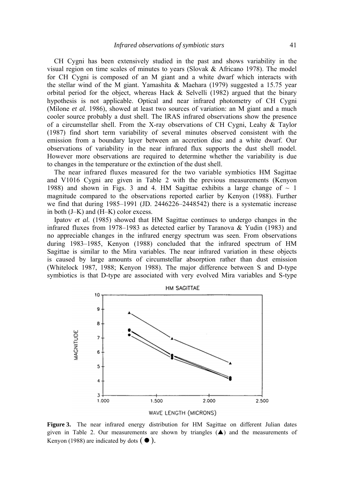CH Cygni has been extensively studied in the past and shows variability in the visual region on time scales of minutes to years (Slovak & Africano 1978). The model for CH Cygni is composed of an Μ giant and a white dwarf which interacts with the stellar wind of the Μ giant. Yamashita & Maehara (1979) suggested a 15.75 year orbital period for the object, whereas Hack  $&$  Selvelli (1982) argued that the binary hypothesis is not applicable. Optical and near infrared photometry of CH Cygni (Milone *et al.* 1986), showed at least two sources of variation: an M giant and a much cooler source probably a dust shell. The IRAS infrared observations show the presence of a circumstellar shell. From the X-ray observations of CH Cygni, Leahy & Taylor (1987) find short term variability of several minutes observed consistent with the emission from a boundary layer between an accretion disc and a white dwarf. Our observations of variability in the near infrared flux supports the dust shell model. However more observations are required to determine whether the variability is due to changes in the temperature or the extinction of the dust shell.

The near infrared fluxes measured for the two variable symbiotics ΗΜ Sagittae and V1016 Cygni are given in Table 2 with the previous measurements (Kenyon 1988) and shown in Figs. 3 and 4. HM Sagittae exhibits a large change of  $\sim$  1 magnitude compared to the observations reported earlier by Kenyon (1988). Further we find that during 1985–1991 (JD. 2446226–2448542) there is a systematic increase in both (J–K) and (H–K) color excess.

Ipatov *et al.* (1985) showed that HM Sagittae continues to undergo changes in the infrared fluxes from 1978–1983 as detected earlier by Taranova & Yudin (1983) and no appreciable changes in the infrared energy spectrum was seen. From observations during 1983–1985, Kenyon (1988) concluded that the infrared spectrum of HM Sagittae is similar to the Mira variables. The near infrared variation in these objects is caused by large amounts of circumstellar absorption rather than dust emission (Whitelock 1987, 1988; Kenyon 1988). The major difference between S and D-type symbiotics is that D-type are associated with very evolved Mira variables and S-type



**Figure 3.** The near infrared energy distribution for HM Sagittae on different Julian dates given in Table 2. Our measurements are shown by triangles  $(A)$  and the measurements of Kenyon (1988) are indicated by dots  $($   $\bullet$   $)$ .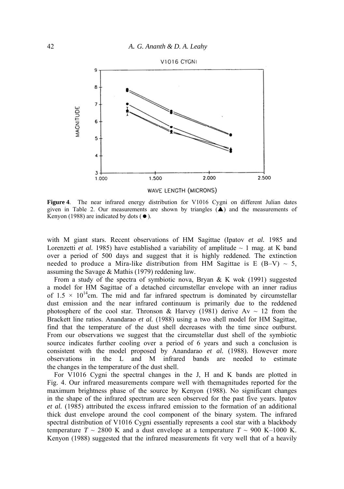

**Figure 4**. The near infrared energy distribution for V1016 Cygni on different Julian dates given in Table 2. Our measurements are shown by triangles  $(\triangle)$  and the measurements of Kenyon (1988) are indicated by dots  $( \bullet )$ .

with Μ giant stars. Recent observations of HM Sagittae (Ipatov *et al.* 1985 and Lorenzetti *et al.* 1985) have established a variability of amplitude  $\sim 1$  mag. at K band over a period of 500 days and suggest that it is highly reddened. The extinction needed to produce a Mira-like distribution from HM Sagittae is E (B–V)  $\sim$  5, assuming the Savage  $&$  Mathis (1979) reddening law.

From a study of the spectra of symbiotic nova, Bryan & Κ wok (1991) suggested a model for HM Sagittae of a detached circumstellar envelope with an inner radius of  $1.5 \times 10^{14}$ cm. The mid and far infrared spectrum is dominated by circumstellar dust emission and the near infrared continuum is primarily due to the reddened photosphere of the cool star. Thronson & Harvey (1981) derive Av  $\sim$  12 from the Brackett line ratios. Anandarao *et al.* (1988) using a two shell model for HM Sagittae, find that the temperature of the dust shell decreases with the time since outburst. From our observations we suggest that the circumstellar dust shell of the symbiotic source indicates further cooling over a period of 6 years and such a conclusion is consistent with the model proposed by Anandarao *et al.* (1988). However more observations in the L and Μ infrared bands are needed to estimate the changes in the temperature of the dust shell.

For V1016 Cygni the spectral changes in the J, Η and Κ bands are plotted in Fig. 4. Our infrared measurements compare well with themagnitudes reported for the maximum brightness phase of the source by Kenyon (1988). No significant changes in the shape of the infrared spectrum are seen observed for the past five years. Ipatov *et al.* (1985) attributed the excess infrared emission to the formation of an additional thick dust envelope around the cool component of the binary system. The infrared spectral distribution of V1016 Cygni essentially represents a cool star with a blackbody temperature  $T \sim 2800$  K and a dust envelope at a temperature  $T \sim 900$  K–1000 K. Kenyon (1988) suggested that the infrared measurements fit very well that of a heavily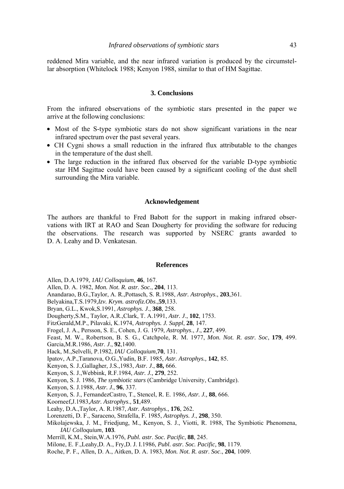reddened Mira variable, and the near infrared variation is produced by the circumstellar absorption (Whitelock 1988; Kenyon 1988, similar to that of HM Sagittae.

### **3. Conclusions**

From the infrared observations of the symbiotic stars presented in the paper we arrive at the following conclusions:

- Most of the S-type symbiotic stars do not show significant variations in the near infrared spectrum over the past several years.
- CH Cygni shows a small reduction in the infrared flux attributable to the changes in the temperature of the dust shell.
- The large reduction in the infrared flux observed for the variable D-type symbiotic star HM Sagittae could have been caused by a significant cooling of the dust shell surrounding the Mira variable.

### **Acknowledgement**

The authors are thankful to Fred Babott for the support in making infrared observations with IRT at RAO and Sean Dougherty for providing the software for reducing the observations. The research was supported by NSERC grants awarded to D. A. Leahy and D. Venkatesan.

#### **References**

- Allen, D.Α.1979, *1AU Colloquium*, **46**, 167.
- Allen, D. Α. 1982, *Mon. Not. R. astr. Soc.*, **204**, 113.
- Anandarao, B.G.,Taylor, A. R.,Pottasch, S. R.1988, *Astr. Astrophys*., **203**,361.
- Belyakina,T.S.1979,*Izv. Krym. astrofiz.Obs*.,**59**,133.
- Bryan, G.L., Kwok,S.1991, *Astrophys. J*., **368**, 258.
- Dougherty,S.M., Taylor, A.R.,Clark, T. A.1991, *Astr. J*., **102**, 1753.
- FitzGerald,M.P., Pilavaki, K.1974, *Astrophys. J. Suppl*, **28**, 147.
- Frogel, J. Α., Persson, S. E., Cohen, J. G. 1979, *Astrophys*., *J*., **227**, 499.
- Feast, Μ. W., Robertson, B. S. G., Catchpole, R. M. 1977, *Mon. Not. R. astr. Soc*, **179**, 499.
- Garcia,M.R.1986, *Astr*. *J*., **92**,1400.
- Hack, M.,Selvelli, P.1982, *IAU Colloquium*,**70**, 131.
- Ipatov, A.P.,Taranova, Ο.G.,Yudin, B.F. 1985, *Astr. Astrophys.,* **142**, 85.
- Kenyon, S. J.,Gallagher, J.S.,1983, *Astr. J*., **88,** 666.
- Kenyon, S. J.,Webbink, R.F.1984, *Astr. J.,* **279**, 252.
- Kenyon, S. J. 1986, *The symbiotic stars* (Cambridge University, Cambridge).
- Kenyon, S. J.1988, *Astr. J*., **96**, 337.
- Kenyon, S. J., FernandezCastro, T., Stencel, R. E. 1986, *Astr. J.,* **88**, 666.
- Koorneef,J.1983,*Astr. Astrophys*., **51**,489.
- Leahy, D.Α.,Taylor, A. R.1987, *Astr. Astrophys*., **176**, 262.
- Lorenzetti, D. F., Saraceno, Strafella, F. 1985, *Astrophys. J*., **298**, 350.
- Mikolajewska, J. M., Friedjung, M., Kenyon, S. J., Viotti, R. 1988, The Symbiotic Phenomena, *IAU Colloquium*, **103**.
- Merrill, Κ.Μ., Stein,W.Α.1976, *Publ. astr*. *Soc. Pacific*, **88**, 245.
- Milone, E. F.,Leahy,D. Α., Fry,D. J. I.1986, *Publ. astr. Soc. Pacific,* **98**, 1179.
- Roche, P. F., Allen, D. Α., Aitken, D. A. 1983, *Mon. Not. R. astr*. *Soc*., **204**, 1009.